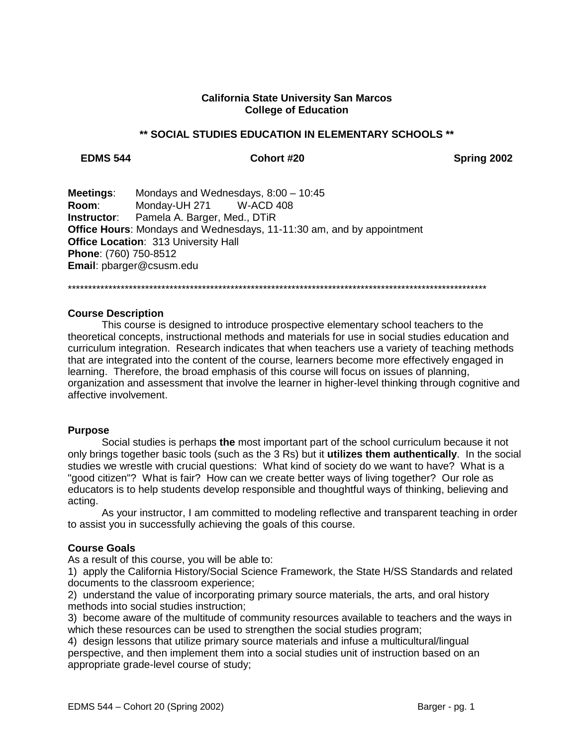## **California State University San Marcos College of Education**

### \*\* SOCIAL STUDIES EDUCATION IN ELEMENTARY SCHOOLS \*\*

### **EDMS 544**

### Cohort #20

Spring 2002

**Meetings:** Mondays and Wednesdays,  $8:00 - 10:45$ Room: Monday-UH 271 **W-ACD 408** Pamela A. Barger, Med., DTiR Instructor: **Office Hours:** Mondays and Wednesdays, 11-11:30 am, and by appointment Office Location: 313 University Hall Phone: (760) 750-8512 Email: pbarger@csusm.edu

### **Course Description**

This course is designed to introduce prospective elementary school teachers to the theoretical concepts, instructional methods and materials for use in social studies education and curriculum integration. Research indicates that when teachers use a variety of teaching methods that are integrated into the content of the course, learners become more effectively engaged in learning. Therefore, the broad emphasis of this course will focus on issues of planning, organization and assessment that involve the learner in higher-level thinking through cognitive and affective involvement.

### **Purpose**

Social studies is perhaps the most important part of the school curriculum because it not only brings together basic tools (such as the 3 Rs) but it **utilizes them authentically**. In the social studies we wrestle with crucial questions: What kind of society do we want to have? What is a "good citizen"? What is fair? How can we create better ways of living together? Our role as educators is to help students develop responsible and thoughtful ways of thinking, believing and acting.

As your instructor, I am committed to modeling reflective and transparent teaching in order to assist you in successfully achieving the goals of this course.

### **Course Goals**

As a result of this course, you will be able to:

1) apply the California History/Social Science Framework, the State H/SS Standards and related documents to the classroom experience;

2) understand the value of incorporating primary source materials, the arts, and oral history methods into social studies instruction;

3) become aware of the multitude of community resources available to teachers and the ways in which these resources can be used to strengthen the social studies program;

4) design lessons that utilize primary source materials and infuse a multicultural/lingual perspective, and then implement them into a social studies unit of instruction based on an appropriate grade-level course of study;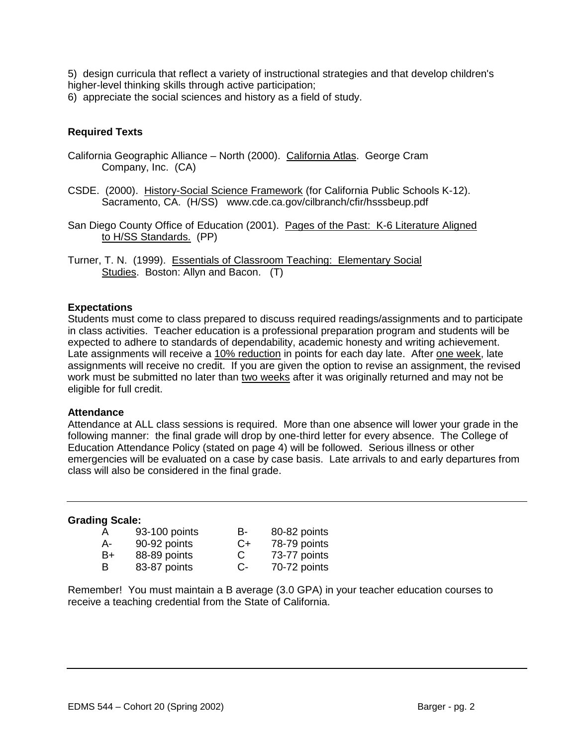5) design curricula that reflect a variety of instructional strategies and that develop children's higher-level thinking skills through active participation;

6) appreciate the social sciences and history as a field of study.

# **Required Texts**

- California Geographic Alliance North (2000). California Atlas. George Cram Company, Inc. (CA)
- CSDE. (2000). History-Social Science Framework (for California Public Schools K-12). Sacramento, CA. (H/SS) www.cde.ca.gov/cilbranch/cfir/hsssbeup.pdf
- San Diego County Office of Education (2001). Pages of the Past: K-6 Literature Aligned to H/SS Standards. (PP)
- Turner, T. N. (1999). Essentials of Classroom Teaching: Elementary Social Studies. Boston: Allyn and Bacon. (T)

## **Expectations**

Students must come to class prepared to discuss required readings/assignments and to participate in class activities. Teacher education is a professional preparation program and students will be expected to adhere to standards of dependability, academic honesty and writing achievement. Late assignments will receive a 10% reduction in points for each day late. After one week, late assignments will receive no credit. If you are given the option to revise an assignment, the revised work must be submitted no later than two weeks after it was originally returned and may not be eligible for full credit.

### **Attendance**

Attendance at ALL class sessions is required. More than one absence will lower your grade in the following manner: the final grade will drop by one-third letter for every absence. The College of Education Attendance Policy (stated on page 4) will be followed. Serious illness or other emergencies will be evaluated on a case by case basis. Late arrivals to and early departures from class will also be considered in the final grade.

### **Grading Scale:**

| A  | 93-100 points | В- | 80-82 points |
|----|---------------|----|--------------|
| А- | 90-92 points  | C+ | 78-79 points |
| B+ | 88-89 points  | C  | 73-77 points |
| В  | 83-87 points  | C- | 70-72 points |

Remember! You must maintain a B average (3.0 GPA) in your teacher education courses to receive a teaching credential from the State of California.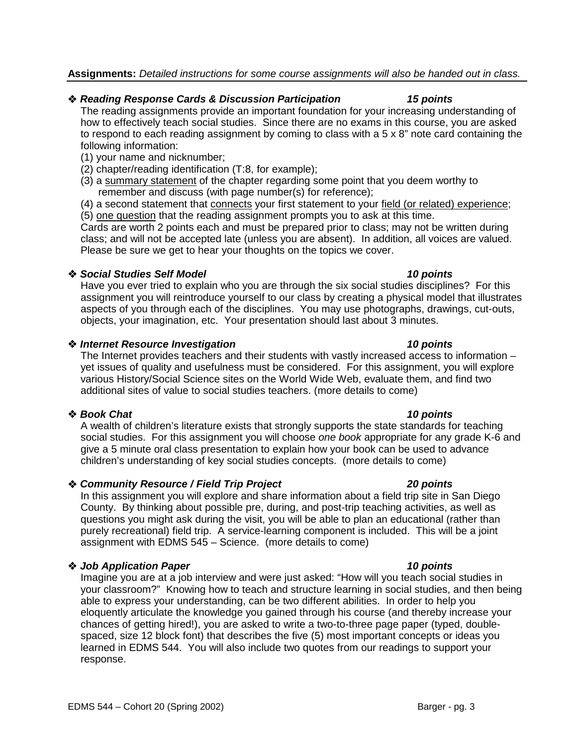# **Assignments:** *Detailed instructions for some course assignments will also be handed out in class.*

# *Reading Response Cards & Discussion Participation 15 points*

The reading assignments provide an important foundation for your increasing understanding of how to effectively teach social studies. Since there are no exams in this course, you are asked to respond to each reading assignment by coming to class with a 5 x 8" note card containing the following information:

- (1) your name and nicknumber;
- (2) chapter/reading identification (T:8, for example);
- (3) a summary statement of the chapter regarding some point that you deem worthy to remember and discuss (with page number(s) for reference);
- (4) a second statement that connects your first statement to your field (or related) experience: (5) one question that the reading assignment prompts you to ask at this time.

Cards are worth 2 points each and must be prepared prior to class; may not be written during class; and will not be accepted late (unless you are absent). In addition, all voices are valued. Please be sure we get to hear your thoughts on the topics we cover.

## *Social Studies Self Model 10 points*

Have you ever tried to explain who you are through the six social studies disciplines? For this assignment you will reintroduce yourself to our class by creating a physical model that illustrates aspects of you through each of the disciplines. You may use photographs, drawings, cut-outs, objects, your imagination, etc. Your presentation should last about 3 minutes.

## *Internet Resource Investigation 10 points*

The Internet provides teachers and their students with vastly increased access to information – yet issues of quality and usefulness must be considered. For this assignment, you will explore various History/Social Science sites on the World Wide Web, evaluate them, and find two additional sites of value to social studies teachers. (more details to come)

# *Book Chat 10 points*

A wealth of children's literature exists that strongly supports the state standards for teaching social studies. For this assignment you will choose *one book* appropriate for any grade K-6 and give a 5 minute oral class presentation to explain how your book can be used to advance children's understanding of key social studies concepts. (more details to come)

# *Community Resource / Field Trip Project 20 points*

In this assignment you will explore and share information about a field trip site in San Diego County. By thinking about possible pre, during, and post-trip teaching activities, as well as questions you might ask during the visit, you will be able to plan an educational (rather than purely recreational) field trip. A service-learning component is included. This will be a joint assignment with EDMS 545 – Science. (more details to come)

# *Job Application Paper 10 points*

Imagine you are at a job interview and were just asked: "How will you teach social studies in your classroom?" Knowing how to teach and structure learning in social studies, and then being able to express your understanding, can be two different abilities. In order to help you eloquently articulate the knowledge you gained through his course (and thereby increase your chances of getting hired!), you are asked to write a two-to-three page paper (typed, doublespaced, size 12 block font) that describes the five (5) most important concepts or ideas you learned in EDMS 544. You will also include two quotes from our readings to support your response.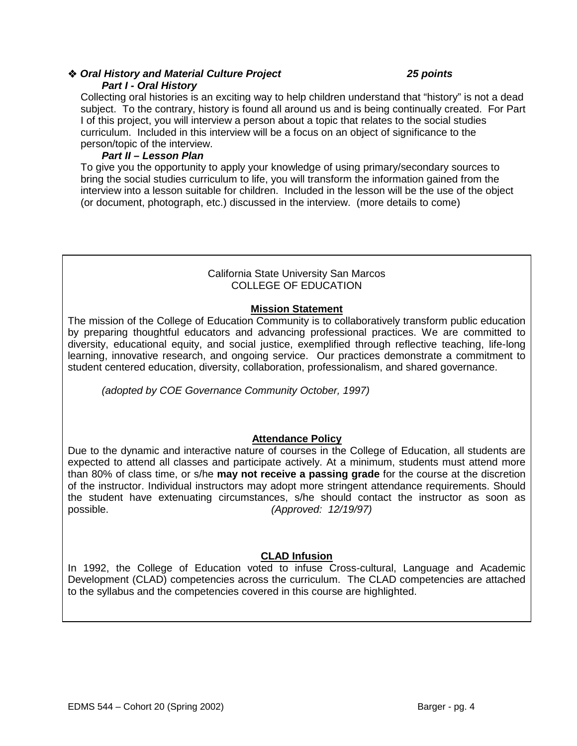## *Oral History and Material Culture Project 25 points Part I - Oral History*

Collecting oral histories is an exciting way to help children understand that "history" is not a dead subject. To the contrary, history is found all around us and is being continually created. For Part I of this project, you will interview a person about a topic that relates to the social studies curriculum. Included in this interview will be a focus on an object of significance to the person/topic of the interview.

## *Part II – Lesson Plan*

To give you the opportunity to apply your knowledge of using primary/secondary sources to bring the social studies curriculum to life, you will transform the information gained from the interview into a lesson suitable for children. Included in the lesson will be the use of the object (or document, photograph, etc.) discussed in the interview. (more details to come)

## California State University San Marcos COLLEGE OF EDUCATION

## **Mission Statement**

The mission of the College of Education Community is to collaboratively transform public education by preparing thoughtful educators and advancing professional practices. We are committed to diversity, educational equity, and social justice, exemplified through reflective teaching, life-long learning, innovative research, and ongoing service. Our practices demonstrate a commitment to student centered education, diversity, collaboration, professionalism, and shared governance.

*(adopted by COE Governance Community October, 1997)*

# **Attendance Policy**

Due to the dynamic and interactive nature of courses in the College of Education, all students are expected to attend all classes and participate actively. At a minimum, students must attend more than 80% of class time, or s/he **may not receive a passing grade** for the course at the discretion of the instructor. Individual instructors may adopt more stringent attendance requirements. Should the student have extenuating circumstances, s/he should contact the instructor as soon as possible. *(Approved: 12/19/97)*

# **CLAD Infusion**

In 1992, the College of Education voted to infuse Cross-cultural, Language and Academic Development (CLAD) competencies across the curriculum. The CLAD competencies are attached to the syllabus and the competencies covered in this course are highlighted.